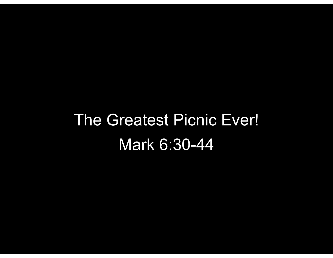## The Greatest Picnic Ever! Mark 6:30-44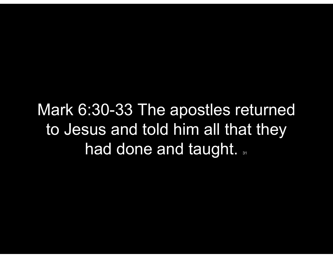Mark 6:30-33 The apostles returned to Jesus and told him all that they had done and taught. 31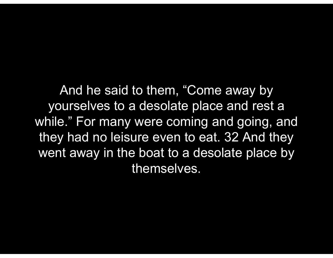And he said to them, "Come away by yourselves to a desolate place and rest a while." For many were coming and going, and And he said to them, "Come away by<br>yourselves to a desolate place and rest a<br>while." For many were coming and going, and<br>they had no leisure even to eat. 32 And they<br>went away in the boat to a desolate place by went away in the boat to a desolate place by themselves.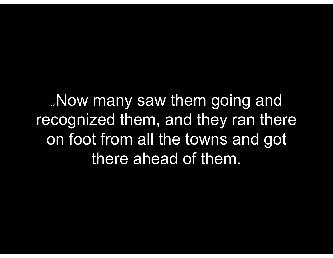**33Now many saw them going and** recognized them, and they ran there on foot from all the towns and got there ahead of them.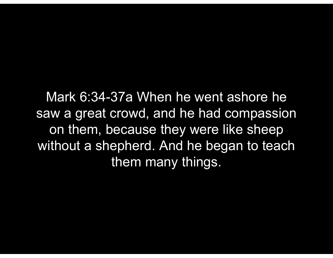Mark 6:34-37a When he went ashore he saw a great crowd, and he had compassion on them, because they were like sheep without a shepherd. And he began to teach them many things.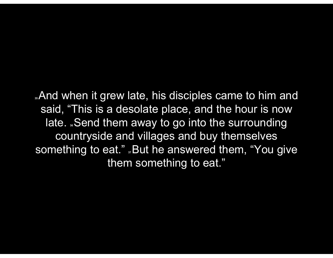.And when it grew late, his disciples came to him and said, "This is a desolate place, and the hour is now late. Send them away to go into the surrounding countryside and villages and buy themselves something to eat." "But he answered them, "You give them something to eat."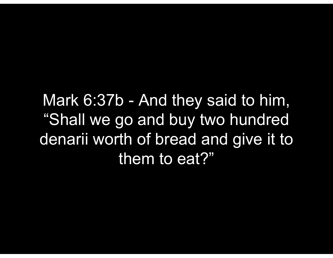Mark 6:37b - And they said to him,<br>"Shall we go and buy two hundred "Shall we go and buy two hundred Mark 6:37b - And they said to him,<br>"Shall we go and buy two hundred<br>denarii worth of bread and give it to<br>them to eat?" them to eat?"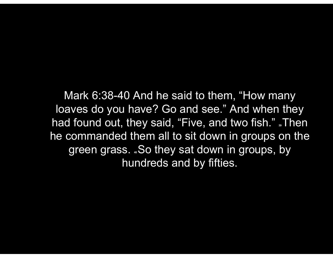Mark 6:38-40 And he said to them, "How many loaves do you have? Go and see." And when they had found out, they said, "Five, and two fish." "Then he commanded them all to sit down in groups on the green grass. So they sat down in groups, by hundreds and by fifties.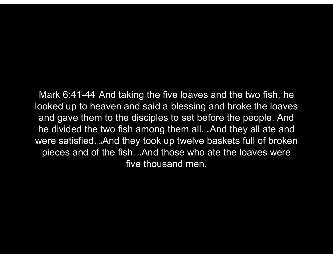Mark 6:41-44 And taking the five loaves and the two fish, he looked up to heaven and said a blessing and broke the loaves and gave them to the disciples to set before the people. And he divided the two fish among them all. And they all ate and were satisfied. "And they took up twelve baskets full of broken pieces and of the fish. ..And those who ate the loaves were five thousand men.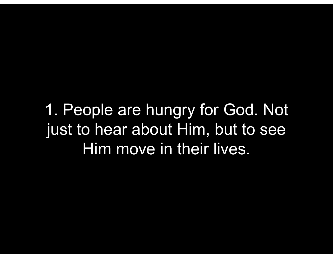1. People are hungry for God. Not just to hear about Him, but to see Him move in their lives.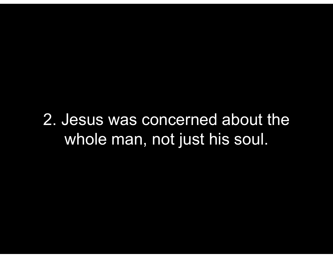2. Jesus was concerned about the whole man, not just his soul.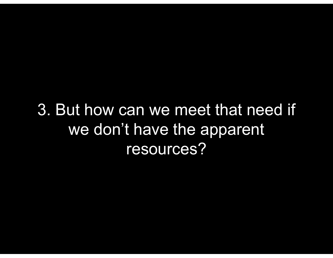3. But how can we meet that need if we don't have the apparent resources?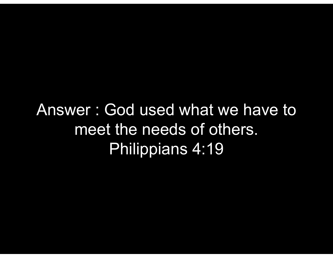Answer : God used what we have to meet the needs of others. Philippians 4:19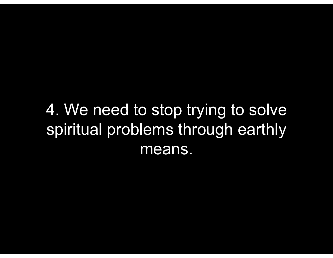## 4. We need to stop trying to solve spiritual problems through earthly means.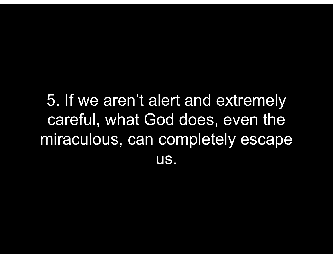## 5. If we aren't alert and extremely careful, what God does, even the miraculous, can completely escape us.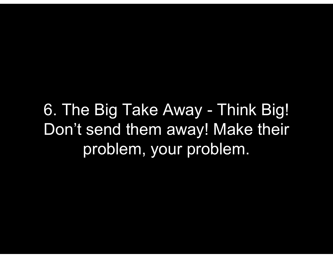6. The Big Take Away - Think Big!<br>Don't send them away! Make their Don't send them away! Make their problem, your problem.